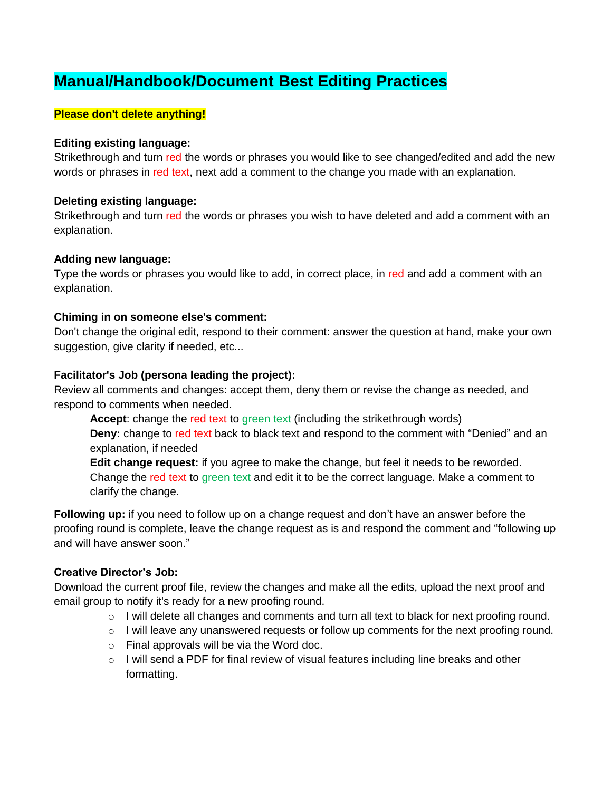# **Manual/Handbook/Document Best Editing Practices**

#### **Please don't delete anything!**

#### **Editing existing language:**

Strikethrough and turn red the words or phrases you would like to see changed/edited and add the new words or phrases in red text, next add a comment to the change you made with an explanation.

#### **Deleting existing language:**

Strikethrough and turn red the words or phrases you wish to have deleted and add a comment with an explanation.

#### **Adding new language:**

Type the words or phrases you would like to add, in correct place, in red and add a comment with an explanation.

#### **Chiming in on someone else's comment:**

Don't change the original edit, respond to their comment: answer the question at hand, make your own suggestion, give clarity if needed, etc...

#### **Facilitator's Job (persona leading the project):**

Review all comments and changes: accept them, deny them or revise the change as needed, and respond to comments when needed.

**Accept**: change the red text to green text (including the strikethrough words) **Deny:** change to red text back to black text and respond to the comment with "Denied" and an explanation, if needed **Edit change request:** if you agree to make the change, but feel it needs to be reworded.

Change the red text to green text and edit it to be the correct language. Make a comment to clarify the change.

**Following up:** if you need to follow up on a change request and don't have an answer before the proofing round is complete, leave the change request as is and respond the comment and "following up and will have answer soon."

### **Creative Director's Job:**

Download the current proof file, review the changes and make all the edits, upload the next proof and email group to notify it's ready for a new proofing round.

- $\circ$  I will delete all changes and comments and turn all text to black for next proofing round.
- o I will leave any unanswered requests or follow up comments for the next proofing round.
- o Final approvals will be via the Word doc.
- $\circ$  I will send a PDF for final review of visual features including line breaks and other formatting.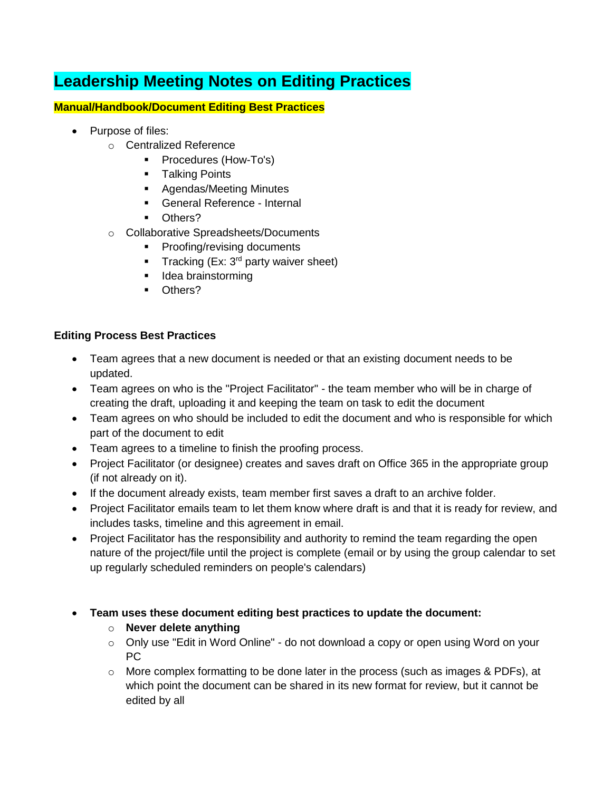# **Leadership Meeting Notes on Editing Practices**

### **Manual/Handbook/Document Editing Best Practices**

- Purpose of files:
	- o Centralized Reference
		- **Procedures (How-To's)**
		- **Talking Points**
		- **Agendas/Meeting Minutes**
		- General Reference Internal
		- Others?
	- o Collaborative Spreadsheets/Documents
		- **Proofing/revising documents**
		- Tracking (Ex:  $3<sup>rd</sup>$  party waiver sheet)
		- **I** Idea brainstorming
		- **D**thers?

## **Editing Process Best Practices**

- Team agrees that a new document is needed or that an existing document needs to be updated.
- Team agrees on who is the "Project Facilitator" the team member who will be in charge of creating the draft, uploading it and keeping the team on task to edit the document
- Team agrees on who should be included to edit the document and who is responsible for which part of the document to edit
- Team agrees to a timeline to finish the proofing process.
- Project Facilitator (or designee) creates and saves draft on Office 365 in the appropriate group (if not already on it).
- If the document already exists, team member first saves a draft to an archive folder.
- Project Facilitator emails team to let them know where draft is and that it is ready for review, and includes tasks, timeline and this agreement in email.
- Project Facilitator has the responsibility and authority to remind the team regarding the open nature of the project/file until the project is complete (email or by using the group calendar to set up regularly scheduled reminders on people's calendars)
- **Team uses these document editing best practices to update the document:**
	- o **Never delete anything**
	- o Only use "Edit in Word Online" do not download a copy or open using Word on your PC
	- $\circ$  More complex formatting to be done later in the process (such as images & PDFs), at which point the document can be shared in its new format for review, but it cannot be edited by all